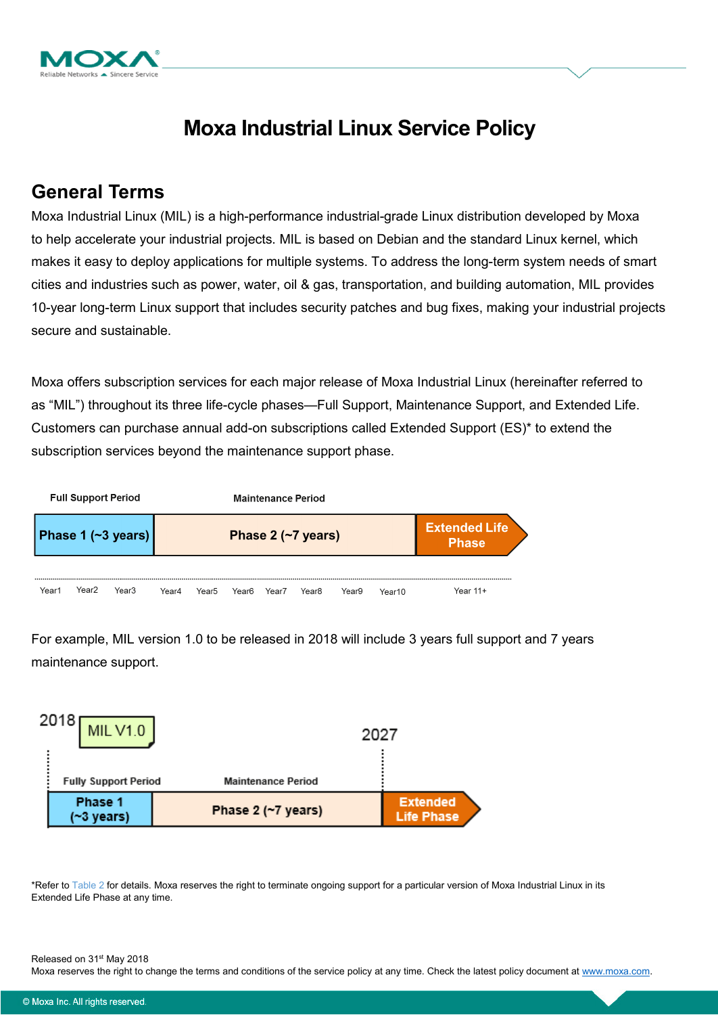

# **Moxa Industrial Linux Service Policy**

### **General Terms**

Moxa Industrial Linux (MIL) is a high-performance industrial-grade Linux distribution developed by Moxa to help accelerate your industrial projects. MIL is based on Debian and the standard Linux kernel, which makes it easy to deploy applications for multiple systems. To address the long-term system needs of smart cities and industries such as power, water, oil & gas, transportation, and building automation, MIL provides 10-year long-term Linux support that includes security patches and bug fixes, making your industrial projects secure and sustainable.

Moxa offers subscription services for each major release of Moxa Industrial Linux (hereinafter referred to as "MIL") throughout its three life-cycle phases—Full Support, Maintenance Support, and Extended Life. Customers can purchase annual add-on subscriptions called Extended Support (ES)\* to extend the subscription services beyond the maintenance support phase.



For example, MIL version 1.0 to be released in 2018 will include 3 years full support and 7 years maintenance support.



\*Refer to [Table 2](#page-4-0) for details. Moxa reserves the right to terminate ongoing support for a particular version of Moxa Industrial Linux in its Extended Life Phase at any time.

Released on 31<sup>st</sup> May 2018

Moxa reserves the right to change the terms and conditions of the service policy at any time. Check the latest policy document at [www.moxa.com.](http://www.moxa.com/)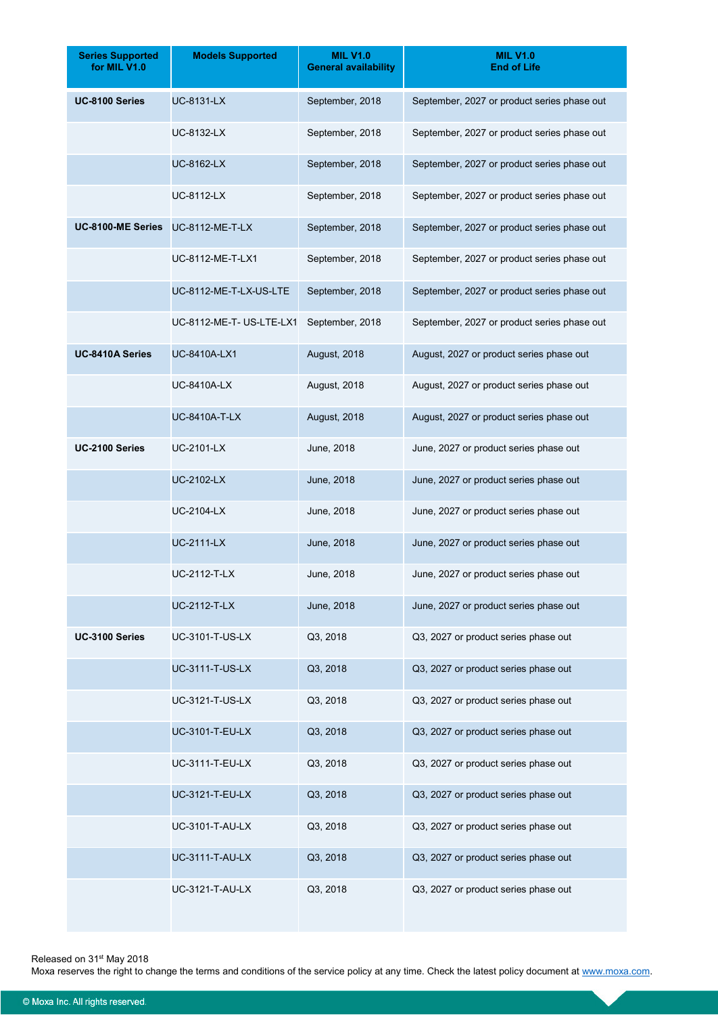| <b>Series Supported</b><br>for MIL V1.0 | <b>Models Supported</b>  | <b>MIL V1.0</b><br><b>General availability</b> | <b>MIL V1.0</b><br><b>End of Life</b>       |  |  |
|-----------------------------------------|--------------------------|------------------------------------------------|---------------------------------------------|--|--|
| UC-8100 Series                          | <b>UC-8131-LX</b>        | September, 2018                                | September, 2027 or product series phase out |  |  |
|                                         | <b>UC-8132-LX</b>        | September, 2018                                | September, 2027 or product series phase out |  |  |
|                                         | <b>UC-8162-LX</b>        | September, 2018                                | September, 2027 or product series phase out |  |  |
|                                         | <b>UC-8112-LX</b>        | September, 2018                                | September, 2027 or product series phase out |  |  |
| UC-8100-ME Series                       | <b>UC-8112-ME-T-LX</b>   | September, 2018                                | September, 2027 or product series phase out |  |  |
|                                         | UC-8112-ME-T-LX1         | September, 2018                                | September, 2027 or product series phase out |  |  |
|                                         | UC-8112-ME-T-LX-US-LTE   | September, 2018                                | September, 2027 or product series phase out |  |  |
|                                         | UC-8112-ME-T- US-LTE-LX1 | September, 2018                                | September, 2027 or product series phase out |  |  |
| UC-8410A Series                         | <b>UC-8410A-LX1</b>      | August, 2018                                   | August, 2027 or product series phase out    |  |  |
|                                         | <b>UC-8410A-LX</b>       | August, 2018                                   | August, 2027 or product series phase out    |  |  |
|                                         | <b>UC-8410A-T-LX</b>     | <b>August, 2018</b>                            | August, 2027 or product series phase out    |  |  |
| UC-2100 Series                          | <b>UC-2101-LX</b>        | June, 2018                                     | June, 2027 or product series phase out      |  |  |
|                                         | <b>UC-2102-LX</b>        | June, 2018                                     | June, 2027 or product series phase out      |  |  |
|                                         | <b>UC-2104-LX</b>        | June, 2018                                     | June, 2027 or product series phase out      |  |  |
|                                         | <b>UC-2111-LX</b>        | June, 2018                                     | June, 2027 or product series phase out      |  |  |
|                                         | <b>UC-2112-T-LX</b>      | June, 2018                                     | June, 2027 or product series phase out      |  |  |
|                                         | <b>UC-2112-T-LX</b>      | June, 2018                                     | June, 2027 or product series phase out      |  |  |
| UC-3100 Series                          | UC-3101-T-US-LX          | Q3, 2018                                       | Q3, 2027 or product series phase out        |  |  |
|                                         | <b>UC-3111-T-US-LX</b>   | Q3, 2018                                       | Q3, 2027 or product series phase out        |  |  |
|                                         | UC-3121-T-US-LX          | Q3, 2018                                       | Q3, 2027 or product series phase out        |  |  |
|                                         | UC-3101-T-EU-LX          | Q3, 2018                                       | Q3, 2027 or product series phase out        |  |  |
|                                         | UC-3111-T-EU-LX          | Q3, 2018                                       | Q3, 2027 or product series phase out        |  |  |
|                                         | UC-3121-T-EU-LX          | Q3, 2018                                       | Q3, 2027 or product series phase out        |  |  |
|                                         | <b>UC-3101-T-AU-LX</b>   | Q3, 2018                                       | Q3, 2027 or product series phase out        |  |  |
|                                         | UC-3111-T-AU-LX          | Q3, 2018                                       | Q3, 2027 or product series phase out        |  |  |
|                                         | <b>UC-3121-T-AU-LX</b>   | Q3, 2018                                       | Q3, 2027 or product series phase out        |  |  |

Released on 31<sup>st</sup> May 2018

Moxa reserves the right to change the terms and conditions of the service policy at any time. Check the latest policy document at [www.moxa.com.](http://www.moxa.com/)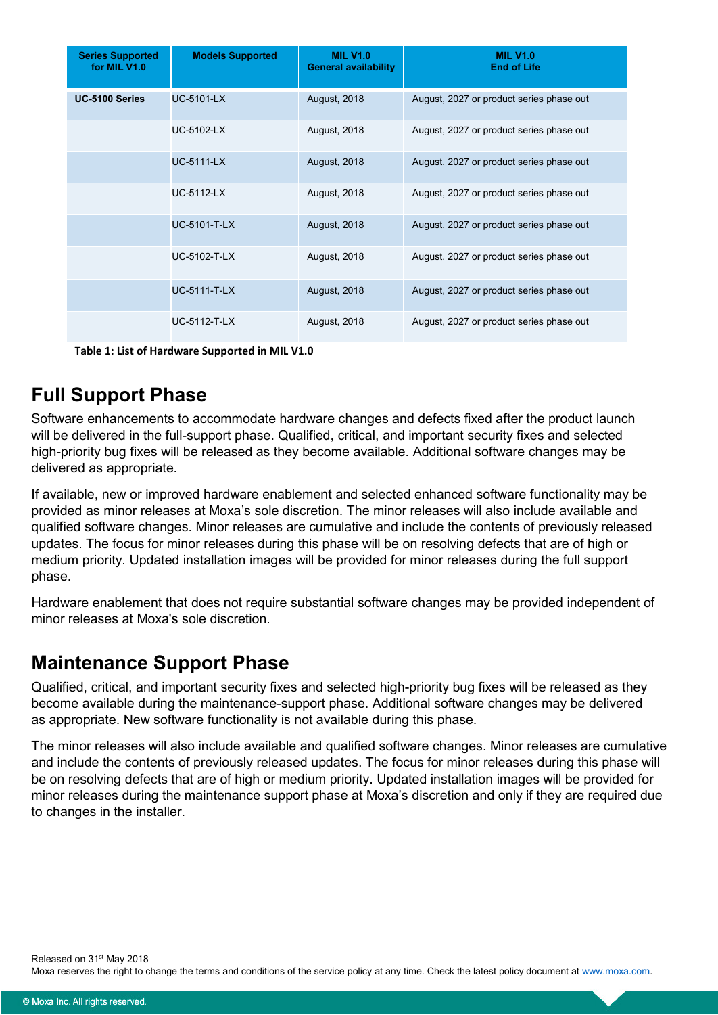| <b>Series Supported</b><br>for MIL V1.0 | <b>Models Supported</b> | <b>MIL V1.0</b><br><b>General availability</b> | <b>MIL V1.0</b><br><b>End of Life</b>    |
|-----------------------------------------|-------------------------|------------------------------------------------|------------------------------------------|
| UC-5100 Series                          | <b>UC-5101-LX</b>       | <b>August, 2018</b>                            | August, 2027 or product series phase out |
|                                         | <b>UC-5102-LX</b>       | <b>August, 2018</b>                            | August, 2027 or product series phase out |
|                                         | <b>UC-5111-LX</b>       | <b>August, 2018</b>                            | August, 2027 or product series phase out |
|                                         | <b>UC-5112-LX</b>       | <b>August, 2018</b>                            | August, 2027 or product series phase out |
|                                         | <b>UC-5101-T-LX</b>     | <b>August, 2018</b>                            | August, 2027 or product series phase out |
|                                         | <b>UC-5102-T-LX</b>     | <b>August, 2018</b>                            | August, 2027 or product series phase out |
|                                         | <b>UC-5111-T-LX</b>     | <b>August, 2018</b>                            | August, 2027 or product series phase out |
|                                         | <b>UC-5112-T-LX</b>     | <b>August, 2018</b>                            | August, 2027 or product series phase out |

**Table 1: List of Hardware Supported in MIL V1.0**

## **Full Support Phase**

Software enhancements to accommodate hardware changes and defects fixed after the product launch will be delivered in the full-support phase. Qualified, critical, and important security fixes and selected high-priority bug fixes will be released as they become available. Additional software changes may be delivered as appropriate.

If available, new or improved hardware enablement and selected enhanced software functionality may be provided as minor releases at Moxa's sole discretion. The minor releases will also include available and qualified software changes. Minor releases are cumulative and include the contents of previously released updates. The focus for minor releases during this phase will be on resolving defects that are of high or medium priority. Updated installation images will be provided for minor releases during the full support phase.

Hardware enablement that does not require substantial software changes may be provided independent of minor releases at Moxa's sole discretion.

#### **Maintenance Support Phase**

Qualified, critical, and important security fixes and selected high-priority bug fixes will be released as they become available during the maintenance-support phase. Additional software changes may be delivered as appropriate. New software functionality is not available during this phase.

The minor releases will also include available and qualified software changes. Minor releases are cumulative and include the contents of previously released updates. The focus for minor releases during this phase will be on resolving defects that are of high or medium priority. Updated installation images will be provided for minor releases during the maintenance support phase at Moxa's discretion and only if they are required due to changes in the installer.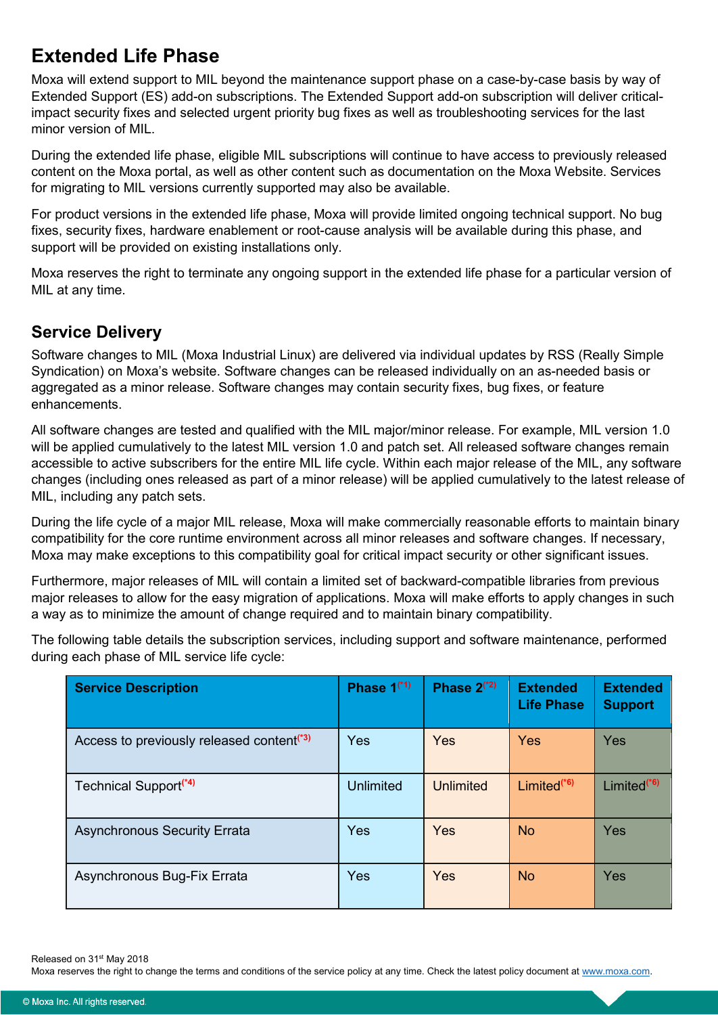### **Extended Life Phase**

Moxa will extend support to MIL beyond the maintenance support phase on a case-by-case basis by way of Extended Support (ES) add-on subscriptions. The Extended Support add-on subscription will deliver criticalimpact security fixes and selected urgent priority bug fixes as well as troubleshooting services for the last minor version of MIL.

During the extended life phase, eligible MIL subscriptions will continue to have access to previously released content on the Moxa portal, as well as other content such as documentation on the Moxa Website. Services for migrating to MIL versions currently supported may also be available.

For product versions in the extended life phase, Moxa will provide limited ongoing technical support. No bug fixes, security fixes, hardware enablement or root-cause analysis will be available during this phase, and support will be provided on existing installations only.

Moxa reserves the right to terminate any ongoing support in the extended life phase for a particular version of MIL at any time.

#### **Service Delivery**

Software changes to MIL (Moxa Industrial Linux) are delivered via individual updates by RSS (Really Simple Syndication) on Moxa's website. Software changes can be released individually on an as-needed basis or aggregated as a minor release. Software changes may contain security fixes, bug fixes, or feature enhancements.

All software changes are tested and qualified with the MIL major/minor release. For example, MIL version 1.0 will be applied cumulatively to the latest MIL version 1.0 and patch set. All released software changes remain accessible to active subscribers for the entire MIL life cycle. Within each major release of the MIL, any software changes (including ones released as part of a minor release) will be applied cumulatively to the latest release of MIL, including any patch sets.

During the life cycle of a major MIL release, Moxa will make commercially reasonable efforts to maintain binary compatibility for the core runtime environment across all minor releases and software changes. If necessary, Moxa may make exceptions to this compatibility goal for critical impact security or other significant issues.

Furthermore, major releases of MIL will contain a limited set of backward-compatible libraries from previous major releases to allow for the easy migration of applications. Moxa will make efforts to apply changes in such a way as to minimize the amount of change required and to maintain binary compatibility.

The following table details the subscription services, including support and software maintenance, performed during each phase of MIL service life cycle:

| Service Description                                   | Phase $1$ <sup>(*1)</sup> | Phase $2(*2)$ | <b>Extended</b><br><b>Life Phase</b> | <b>Extended</b><br><b>Support</b> |
|-------------------------------------------------------|---------------------------|---------------|--------------------------------------|-----------------------------------|
| Access to previously released content <sup>(*3)</sup> | Yes                       | <b>Yes</b>    | <b>Yes</b>                           | Yes                               |
| Technical Support <sup>(*4)</sup>                     | <b>Unlimited</b>          | Unlimited     | Limited <sup>(*6)</sup>              | Limited <sup>(*6)</sup>           |
| <b>Asynchronous Security Errata</b>                   | Yes                       | Yes           | <b>No</b>                            | <b>Yes</b>                        |
| Asynchronous Bug-Fix Errata                           | Yes                       | Yes           | <b>No</b>                            | Yes                               |

Released on 31<sup>st</sup> May 2018

Moxa reserves the right to change the terms and conditions of the service policy at any time. Check the latest policy document at [www.moxa.com.](http://www.moxa.com/)